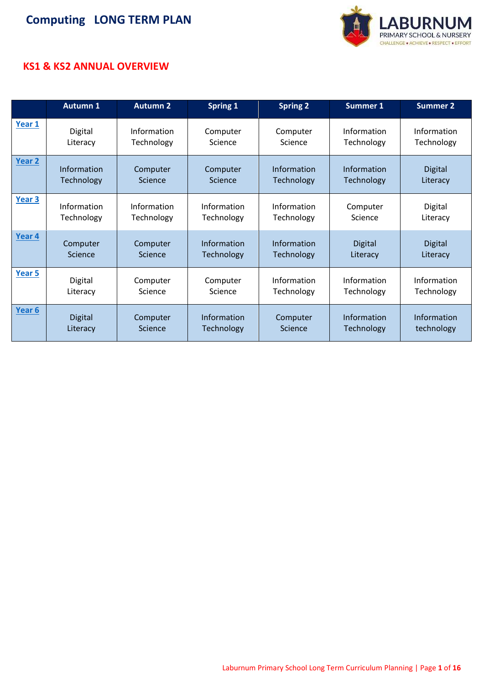

#### **KS1 & KS2 ANNUAL OVERVIEW**

|        | <b>Autumn 1</b> | <b>Autumn 2</b> | <b>Spring 1</b> | <b>Spring 2</b>   | <b>Summer 1</b> | <b>Summer 2</b> |
|--------|-----------------|-----------------|-----------------|-------------------|-----------------|-----------------|
| Year 1 | Digital         | Information     | Computer        | Computer          | Information     | Information     |
|        | Literacy        | Technology      | Science         | Science           | Technology      | Technology      |
| Year 2 | Information     | Computer        | Computer        | Information       | Information     | <b>Digital</b>  |
|        | Technology      | Science         | Science         | <b>Technology</b> | Technology      | Literacy        |
| Year 3 | Information     | Information     | Information     | Information       | Computer        | Digital         |
|        | Technology      | Technology      | Technology      | Technology        | Science         | Literacy        |
| Year 4 | Computer        | Computer        | Information     | Information       | <b>Digital</b>  | <b>Digital</b>  |
|        | Science         | Science         | Technology      | Technology        | Literacy        | Literacy        |
| Year 5 | Digital         | Computer        | Computer        | Information       | Information     | Information     |
|        | Literacy        | Science         | Science         | Technology        | Technology      | Technology      |
| Year 6 | <b>Digital</b>  | Computer        | Information     | Computer          | Information     | Information     |
|        | Literacy        | <b>Science</b>  | Technology      | Science           | Technology      | technology      |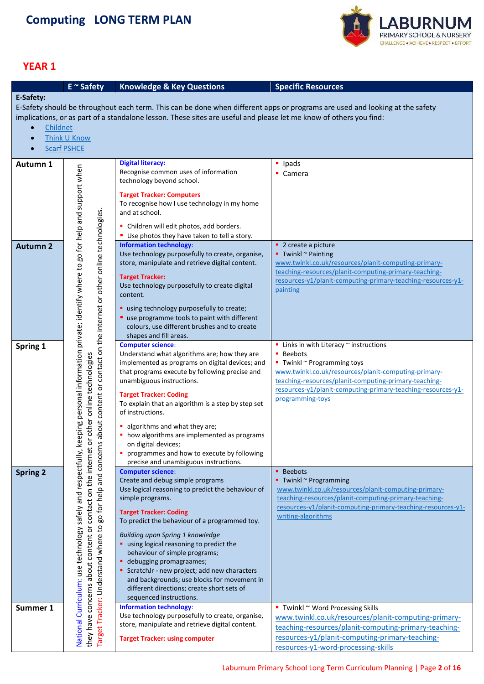

<span id="page-1-0"></span>

|                                                                                                                              | $E \sim$ Safety                                                                                                                                                | <b>Knowledge &amp; Key Questions</b>                                                          | <b>Specific Resources</b>                                                          |  |  |  |
|------------------------------------------------------------------------------------------------------------------------------|----------------------------------------------------------------------------------------------------------------------------------------------------------------|-----------------------------------------------------------------------------------------------|------------------------------------------------------------------------------------|--|--|--|
| E-Safety:                                                                                                                    |                                                                                                                                                                |                                                                                               |                                                                                    |  |  |  |
| E-Safety should be throughout each term. This can be done when different apps or programs are used and looking at the safety |                                                                                                                                                                |                                                                                               |                                                                                    |  |  |  |
| implications, or as part of a standalone lesson. These sites are useful and please let me know of others you find:           |                                                                                                                                                                |                                                                                               |                                                                                    |  |  |  |
| $\bullet$                                                                                                                    | Childnet                                                                                                                                                       |                                                                                               |                                                                                    |  |  |  |
| $\bullet$                                                                                                                    | Think U Know                                                                                                                                                   |                                                                                               |                                                                                    |  |  |  |
| $\bullet$                                                                                                                    | <b>Scarf PSHCE</b>                                                                                                                                             |                                                                                               |                                                                                    |  |  |  |
|                                                                                                                              |                                                                                                                                                                |                                                                                               |                                                                                    |  |  |  |
| Autumn 1                                                                                                                     |                                                                                                                                                                | <b>Digital literacy:</b>                                                                      | <b>u</b> Ipads                                                                     |  |  |  |
|                                                                                                                              |                                                                                                                                                                | Recognise common uses of information<br>technology beyond school.                             | $\blacksquare$ Camera                                                              |  |  |  |
|                                                                                                                              |                                                                                                                                                                |                                                                                               |                                                                                    |  |  |  |
|                                                                                                                              |                                                                                                                                                                | <b>Target Tracker: Computers</b>                                                              |                                                                                    |  |  |  |
|                                                                                                                              |                                                                                                                                                                | To recognise how I use technology in my home<br>and at school.                                |                                                                                    |  |  |  |
|                                                                                                                              |                                                                                                                                                                |                                                                                               |                                                                                    |  |  |  |
|                                                                                                                              |                                                                                                                                                                | • Children will edit photos, add borders.                                                     |                                                                                    |  |  |  |
|                                                                                                                              |                                                                                                                                                                | Use photos they have taken to tell a story.                                                   |                                                                                    |  |  |  |
| <b>Autumn 2</b>                                                                                                              |                                                                                                                                                                | <b>Information technology:</b><br>Use technology purposefully to create, organise,            | • 2 create a picture<br>$\blacksquare$ Twinkl $\sim$ Painting                      |  |  |  |
|                                                                                                                              |                                                                                                                                                                | store, manipulate and retrieve digital content.                                               | www.twinkl.co.uk/resources/planit-computing-primary-                               |  |  |  |
|                                                                                                                              |                                                                                                                                                                |                                                                                               | teaching-resources/planit-computing-primary-teaching-                              |  |  |  |
|                                                                                                                              |                                                                                                                                                                | <b>Target Tracker:</b>                                                                        | resources-y1/planit-computing-primary-teaching-resources-y1-                       |  |  |  |
|                                                                                                                              |                                                                                                                                                                | Use technology purposefully to create digital<br>content.                                     | painting                                                                           |  |  |  |
|                                                                                                                              |                                                                                                                                                                |                                                                                               |                                                                                    |  |  |  |
|                                                                                                                              |                                                                                                                                                                | " using technology purposefully to create;                                                    |                                                                                    |  |  |  |
|                                                                                                                              |                                                                                                                                                                | " use programme tools to paint with different<br>colours, use different brushes and to create |                                                                                    |  |  |  |
|                                                                                                                              |                                                                                                                                                                | shapes and fill areas.                                                                        |                                                                                    |  |  |  |
| Spring 1                                                                                                                     | keeping personal information private; identify where to go for help and support when<br>about content or contact on the internet or other online technologies. | <b>Computer science:</b>                                                                      | $\blacksquare$ Links in with Literacy $\sim$ instructions                          |  |  |  |
|                                                                                                                              |                                                                                                                                                                | Understand what algorithms are; how they are                                                  | • Beebots                                                                          |  |  |  |
|                                                                                                                              |                                                                                                                                                                | implemented as programs on digital devices; and                                               | $\blacksquare$ Twinkl $\sim$ Programming toys                                      |  |  |  |
|                                                                                                                              |                                                                                                                                                                | that programs execute by following precise and                                                | www.twinkl.co.uk/resources/planit-computing-primary-                               |  |  |  |
|                                                                                                                              |                                                                                                                                                                | unambiguous instructions.                                                                     | teaching-resources/planit-computing-primary-teaching-                              |  |  |  |
|                                                                                                                              |                                                                                                                                                                | <b>Target Tracker: Coding</b>                                                                 | resources-y1/planit-computing-primary-teaching-resources-y1-<br>programming-toys   |  |  |  |
|                                                                                                                              |                                                                                                                                                                | To explain that an algorithm is a step by step set                                            |                                                                                    |  |  |  |
|                                                                                                                              | or other online technologies                                                                                                                                   | of instructions.                                                                              |                                                                                    |  |  |  |
|                                                                                                                              |                                                                                                                                                                | algorithms and what they are;                                                                 |                                                                                    |  |  |  |
|                                                                                                                              |                                                                                                                                                                | • how algorithms are implemented as programs                                                  |                                                                                    |  |  |  |
|                                                                                                                              | $\mathsf{v}$                                                                                                                                                   | on digital devices;                                                                           |                                                                                    |  |  |  |
|                                                                                                                              |                                                                                                                                                                | programmes and how to execute by following<br>precise and unambiguous instructions.           |                                                                                    |  |  |  |
| <b>Spring 2</b>                                                                                                              | go for help and concern<br>contact on the internet                                                                                                             | <b>Computer science:</b>                                                                      | <b>Beebots</b>                                                                     |  |  |  |
|                                                                                                                              |                                                                                                                                                                | Create and debug simple programs                                                              | ■ Twinkl ~ Programming                                                             |  |  |  |
|                                                                                                                              |                                                                                                                                                                | Use logical reasoning to predict the behaviour of                                             | www.twinkl.co.uk/resources/planit-computing-primary-                               |  |  |  |
|                                                                                                                              |                                                                                                                                                                | simple programs.                                                                              | teaching-resources/planit-computing-primary-teaching-                              |  |  |  |
|                                                                                                                              |                                                                                                                                                                | <b>Target Tracker: Coding</b>                                                                 | resources-y1/planit-computing-primary-teaching-resources-y1-<br>writing-algorithms |  |  |  |
|                                                                                                                              |                                                                                                                                                                | To predict the behaviour of a programmed toy.                                                 |                                                                                    |  |  |  |
|                                                                                                                              | $\mathsf{c}$                                                                                                                                                   | Building upon Spring 1 knowledge                                                              |                                                                                    |  |  |  |
|                                                                                                                              |                                                                                                                                                                | using logical reasoning to predict the                                                        |                                                                                    |  |  |  |
|                                                                                                                              |                                                                                                                                                                | behaviour of simple programs;                                                                 |                                                                                    |  |  |  |
|                                                                                                                              |                                                                                                                                                                | • debugging promagraames;                                                                     |                                                                                    |  |  |  |
|                                                                                                                              |                                                                                                                                                                | ScratchJr - new project; add new characters                                                   |                                                                                    |  |  |  |
|                                                                                                                              |                                                                                                                                                                | and backgrounds; use blocks for movement in<br>different directions; create short sets of     |                                                                                    |  |  |  |
|                                                                                                                              |                                                                                                                                                                | sequenced instructions.                                                                       |                                                                                    |  |  |  |
| Summer 1                                                                                                                     | National Curriculum: use technology safely and respectfully,<br>concerns about content or<br>Target Tracker: Understand where                                  | <b>Information technology:</b>                                                                | $\blacksquare$ Twinkl ~ Word Processing Skills                                     |  |  |  |
|                                                                                                                              |                                                                                                                                                                | Use technology purposefully to create, organise,                                              | www.twinkl.co.uk/resources/planit-computing-primary-                               |  |  |  |
|                                                                                                                              | they have                                                                                                                                                      | store, manipulate and retrieve digital content.                                               | teaching-resources/planit-computing-primary-teaching-                              |  |  |  |
|                                                                                                                              |                                                                                                                                                                | <b>Target Tracker: using computer</b>                                                         | resources-y1/planit-computing-primary-teaching-                                    |  |  |  |
|                                                                                                                              |                                                                                                                                                                |                                                                                               | resources-y1-word-processing-skills                                                |  |  |  |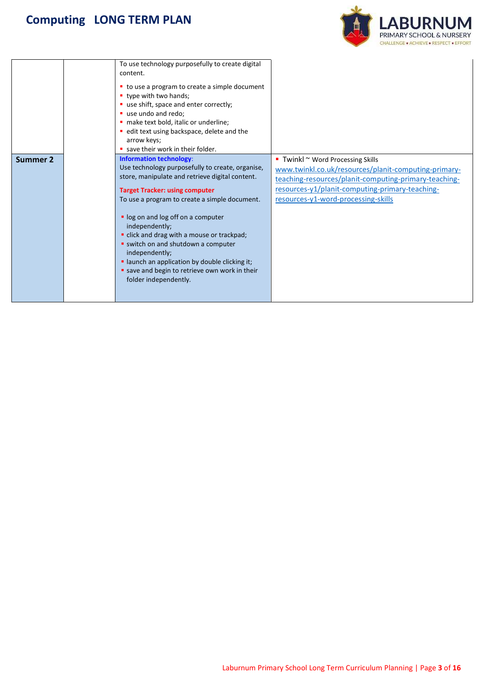

|          | To use technology purposefully to create digital<br>content.<br>• to use a program to create a simple document<br>• type with two hands;<br>use shift, space and enter correctly;<br>use undo and redo;<br>· make text bold, italic or underline;<br>· edit text using backspace, delete and the<br>arrow keys;<br>save their work in their folder.                                                                                                                                                                       |                                                                                                                                                                                                                                                   |
|----------|---------------------------------------------------------------------------------------------------------------------------------------------------------------------------------------------------------------------------------------------------------------------------------------------------------------------------------------------------------------------------------------------------------------------------------------------------------------------------------------------------------------------------|---------------------------------------------------------------------------------------------------------------------------------------------------------------------------------------------------------------------------------------------------|
| Summer 2 | <b>Information technology:</b><br>Use technology purposefully to create, organise,<br>store, manipulate and retrieve digital content.<br><b>Target Tracker: using computer</b><br>To use a program to create a simple document.<br>" log on and log off on a computer<br>independently;<br>" click and drag with a mouse or trackpad;<br>" switch on and shutdown a computer<br>independently;<br>· launch an application by double clicking it;<br>save and begin to retrieve own work in their<br>folder independently. | ■ Twinkl $\sim$ Word Processing Skills<br>www.twinkl.co.uk/resources/planit-computing-primary-<br>teaching-resources/planit-computing-primary-teaching-<br>resources-y1/planit-computing-primary-teaching-<br>resources-y1-word-processing-skills |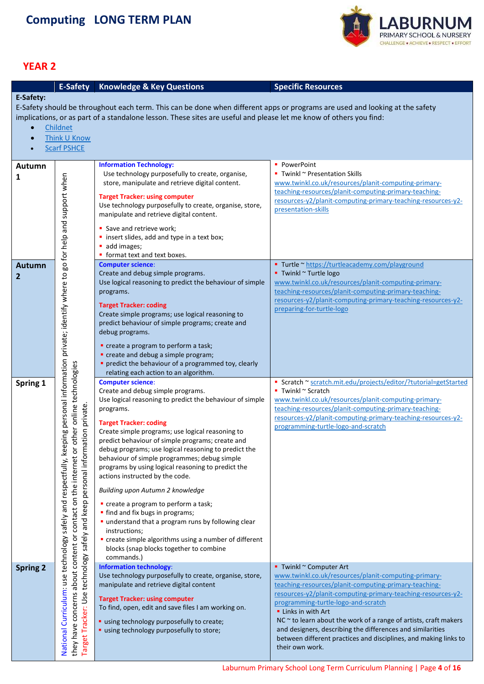

<span id="page-3-0"></span>

|                 |                                                                                                                                                                                  | <b>E-Safety</b> Knowledge & Key Questions                                                                                                                                                                                                                                                                                                                                                                                                                                                                                                                                                                                                                                                                                                                                                  | <b>Specific Resources</b>                                                                                                                                                                                                                                                                                                                                                                                                                                                                                   |
|-----------------|----------------------------------------------------------------------------------------------------------------------------------------------------------------------------------|--------------------------------------------------------------------------------------------------------------------------------------------------------------------------------------------------------------------------------------------------------------------------------------------------------------------------------------------------------------------------------------------------------------------------------------------------------------------------------------------------------------------------------------------------------------------------------------------------------------------------------------------------------------------------------------------------------------------------------------------------------------------------------------------|-------------------------------------------------------------------------------------------------------------------------------------------------------------------------------------------------------------------------------------------------------------------------------------------------------------------------------------------------------------------------------------------------------------------------------------------------------------------------------------------------------------|
| E-Safety:       | Childnet<br>Think U Know<br><b>Scarf PSHCE</b>                                                                                                                                   | E-Safety should be throughout each term. This can be done when different apps or programs are used and looking at the safety<br>implications, or as part of a standalone lesson. These sites are useful and please let me know of others you find:                                                                                                                                                                                                                                                                                                                                                                                                                                                                                                                                         |                                                                                                                                                                                                                                                                                                                                                                                                                                                                                                             |
| Autumn<br>1     |                                                                                                                                                                                  | <b>Information Technology:</b><br>Use technology purposefully to create, organise,<br>store, manipulate and retrieve digital content.<br><b>Target Tracker: using computer</b><br>Use technology purposefully to create, organise, store,<br>manipulate and retrieve digital content.<br>Save and retrieve work;<br>" insert slides, add and type in a text box;<br>add images;<br>• format text and text boxes.                                                                                                                                                                                                                                                                                                                                                                           | • PowerPoint<br>Twinkl $\sim$ Presentation Skills<br>www.twinkl.co.uk/resources/planit-computing-primary-<br>teaching-resources/planit-computing-primary-teaching-<br>resources-y2/planit-computing-primary-teaching-resources-y2-<br>presentation-skills                                                                                                                                                                                                                                                   |
| Autumn<br>2     | ing personal information private; identify where to go for help and support when                                                                                                 | <b>Computer science:</b><br>Create and debug simple programs.<br>Use logical reasoning to predict the behaviour of simple<br>programs.<br><b>Target Tracker: coding</b><br>Create simple programs; use logical reasoning to<br>predict behaviour of simple programs; create and<br>debug programs.<br>" create a program to perform a task;<br>" create and debug a simple program;<br>• predict the behaviour of a programmed toy, clearly<br>relating each action to an algorithm.                                                                                                                                                                                                                                                                                                       | ■ Turtle ~ https://turtleacademy.com/playground<br>■ Twinkl ~ Turtle logo<br>www.twinkl.co.uk/resources/planit-computing-primary-<br>teaching-resources/planit-computing-primary-teaching-<br>resources-y2/planit-computing-primary-teaching-resources-y2-<br>preparing-for-turtle-logo                                                                                                                                                                                                                     |
| Spring 1        | or other online technologies<br>personal information private.<br>National Curriculum: use technology safely and respectfully, keep<br>contact on the internet<br>safely and keep | <b>Computer science:</b><br>Create and debug simple programs.<br>Use logical reasoning to predict the behaviour of simple<br>programs.<br><b>Target Tracker: coding</b><br>Create simple programs; use logical reasoning to<br>predict behaviour of simple programs; create and<br>debug programs; use logical reasoning to predict the<br>behaviour of simple programmes; debug simple<br>programs by using logical reasoning to predict the<br>actions instructed by the code.<br>Building upon Autumn 2 knowledge<br>create a program to perform a task;<br>• find and fix bugs in programs;<br>" understand that a program runs by following clear<br>instructions;<br>• create simple algorithms using a number of different<br>blocks (snap blocks together to combine<br>commands.) | Scratch ~ scratch.mit.edu/projects/editor/?tutorial=getStarted<br>■ Twinkl ~ Scratch<br>www.twinkl.co.uk/resources/planit-computing-primary-<br>teaching-resources/planit-computing-primary-teaching-<br>resources-y2/planit-computing-primary-teaching-resources-y2-<br>programming-turtle-logo-and-scratch                                                                                                                                                                                                |
| <b>Spring 2</b> | about content or<br>technology<br>they have concerns<br>Target Tracker: Use                                                                                                      | <b>Information technology:</b><br>Use technology purposefully to create, organise, store,<br>manipulate and retrieve digital content<br><b>Target Tracker: using computer</b><br>To find, open, edit and save files I am working on.<br>" using technology purposefully to create;<br>" using technology purposefully to store;                                                                                                                                                                                                                                                                                                                                                                                                                                                            | ■ Twinkl ~ Computer Art<br>www.twinkl.co.uk/resources/planit-computing-primary-<br>teaching-resources/planit-computing-primary-teaching-<br>resources-y2/planit-computing-primary-teaching-resources-y2-<br>programming-turtle-logo-and-scratch<br><b>E</b> Links in with Art<br>NC $\sim$ to learn about the work of a range of artists, craft makers<br>and designers, describing the differences and similarities<br>between different practices and disciplines, and making links to<br>their own work. |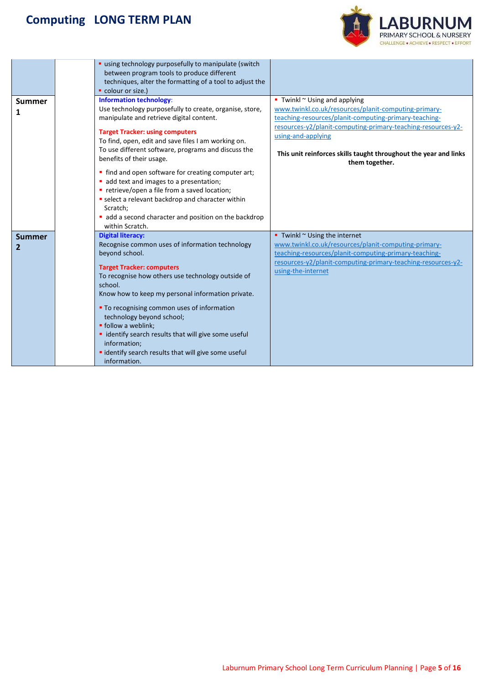

|               | " using technology purposefully to manipulate (switch                           |                                                                                    |
|---------------|---------------------------------------------------------------------------------|------------------------------------------------------------------------------------|
|               | between program tools to produce different                                      |                                                                                    |
|               | techniques, alter the formatting of a tool to adjust the<br>colour or size.)    |                                                                                    |
|               | <b>Information technology:</b>                                                  | $\blacksquare$ Twinkl $\sim$ Using and applying                                    |
| <b>Summer</b> | Use technology purposefully to create, organise, store,                         | www.twinkl.co.uk/resources/planit-computing-primary-                               |
| 1             | manipulate and retrieve digital content.                                        | teaching-resources/planit-computing-primary-teaching-                              |
|               | <b>Target Tracker: using computers</b>                                          | resources-y2/planit-computing-primary-teaching-resources-y2-<br>using-and-applying |
|               | To find, open, edit and save files I am working on.                             |                                                                                    |
|               | To use different software, programs and discuss the<br>benefits of their usage. | This unit reinforces skills taught throughout the year and links<br>them together. |
|               | • find and open software for creating computer art;                             |                                                                                    |
|               | add text and images to a presentation;                                          |                                                                                    |
|               | • retrieve/open a file from a saved location;                                   |                                                                                    |
|               | select a relevant backdrop and character within                                 |                                                                                    |
|               | Scratch;                                                                        |                                                                                    |
|               | add a second character and position on the backdrop<br>within Scratch.          |                                                                                    |
| <b>Summer</b> | <b>Digital literacy:</b>                                                        | Twinkl $\sim$ Using the internet                                                   |
| 2             | Recognise common uses of information technology                                 | www.twinkl.co.uk/resources/planit-computing-primary-                               |
|               | beyond school.                                                                  | teaching-resources/planit-computing-primary-teaching-                              |
|               | <b>Target Tracker: computers</b>                                                | resources-y2/planit-computing-primary-teaching-resources-y2-                       |
|               | To recognise how others use technology outside of                               | using-the-internet                                                                 |
|               | school.                                                                         |                                                                                    |
|               | Know how to keep my personal information private.                               |                                                                                    |
|               | " To recognising common uses of information                                     |                                                                                    |
|               | technology beyond school;                                                       |                                                                                    |
|               | · follow a weblink;                                                             |                                                                                    |
|               | · identify search results that will give some useful                            |                                                                                    |
|               | information;                                                                    |                                                                                    |
|               | · identify search results that will give some useful                            |                                                                                    |
|               | information.                                                                    |                                                                                    |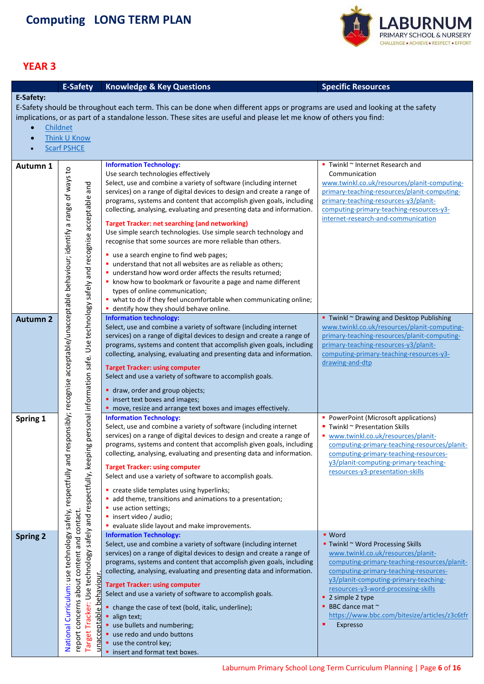

<span id="page-5-0"></span>

| E-Safety:<br>E-Safety should be throughout each term. This can be done when different apps or programs are used and looking at the safety<br>implications, or as part of a standalone lesson. These sites are useful and please let me know of others you find:      |          |  |  |  |  |  |  |
|----------------------------------------------------------------------------------------------------------------------------------------------------------------------------------------------------------------------------------------------------------------------|----------|--|--|--|--|--|--|
|                                                                                                                                                                                                                                                                      |          |  |  |  |  |  |  |
|                                                                                                                                                                                                                                                                      |          |  |  |  |  |  |  |
|                                                                                                                                                                                                                                                                      |          |  |  |  |  |  |  |
|                                                                                                                                                                                                                                                                      | Childnet |  |  |  |  |  |  |
| Think U Know<br>$\bullet$                                                                                                                                                                                                                                            |          |  |  |  |  |  |  |
| <b>Scarf PSHCE</b>                                                                                                                                                                                                                                                   |          |  |  |  |  |  |  |
| <b>Information Technology:</b><br>■ Twinkl ~ Internet Research and<br>Autumn 1                                                                                                                                                                                       |          |  |  |  |  |  |  |
| Use search technologies effectively<br>Communication                                                                                                                                                                                                                 |          |  |  |  |  |  |  |
| Select, use and combine a variety of software (including internet<br>www.twinkl.co.uk/resources/planit-computing-                                                                                                                                                    |          |  |  |  |  |  |  |
| services) on a range of digital devices to design and create a range of<br>primary-teaching-resources/planit-computing-<br>programs, systems and content that accomplish given goals, including<br>primary-teaching-resources-y3/planit-                             |          |  |  |  |  |  |  |
| computing-primary-teaching-resources-y3-<br>collecting, analysing, evaluating and presenting data and information.                                                                                                                                                   |          |  |  |  |  |  |  |
| internet-research-and-communication                                                                                                                                                                                                                                  |          |  |  |  |  |  |  |
| <b>Target Tracker: net searching (and networking)</b><br>Use simple search technologies. Use simple search technology and                                                                                                                                            |          |  |  |  |  |  |  |
| recognise that some sources are more reliable than others.                                                                                                                                                                                                           |          |  |  |  |  |  |  |
| " use a search engine to find web pages;                                                                                                                                                                                                                             |          |  |  |  |  |  |  |
| " understand that not all websites are as reliable as others;                                                                                                                                                                                                        |          |  |  |  |  |  |  |
| " understand how word order affects the results returned;                                                                                                                                                                                                            |          |  |  |  |  |  |  |
| • know how to bookmark or favourite a page and name different                                                                                                                                                                                                        |          |  |  |  |  |  |  |
| types of online communication;                                                                                                                                                                                                                                       |          |  |  |  |  |  |  |
| • what to do if they feel uncomfortable when communicating online;<br>dentify how they should behave online.                                                                                                                                                         |          |  |  |  |  |  |  |
| sponsibly; recognise acceptable/unacceptable behaviour; identify a range of ways to<br>personal information safe. Use technology safely and recognise acceptable and<br><b>Information technology:</b><br>Twinkl ~ Drawing and Desktop Publishing<br><b>Autumn 2</b> |          |  |  |  |  |  |  |
| Select, use and combine a variety of software (including internet<br>www.twinkl.co.uk/resources/planit-computing-                                                                                                                                                    |          |  |  |  |  |  |  |
| primary-teaching-resources/planit-computing-<br>services) on a range of digital devices to design and create a range of                                                                                                                                              |          |  |  |  |  |  |  |
| primary-teaching-resources-y3/planit-<br>programs, systems and content that accomplish given goals, including                                                                                                                                                        |          |  |  |  |  |  |  |
| collecting, analysing, evaluating and presenting data and information.<br>computing-primary-teaching-resources-y3-<br>drawing-and-dtp                                                                                                                                |          |  |  |  |  |  |  |
| <b>Target Tracker: using computer</b>                                                                                                                                                                                                                                |          |  |  |  |  |  |  |
| Select and use a variety of software to accomplish goals.                                                                                                                                                                                                            |          |  |  |  |  |  |  |
| draw, order and group objects;                                                                                                                                                                                                                                       |          |  |  |  |  |  |  |
| " insert text boxes and images;                                                                                                                                                                                                                                      |          |  |  |  |  |  |  |
| " move, resize and arrange text boxes and images effectively.                                                                                                                                                                                                        |          |  |  |  |  |  |  |
| <b>Information Technology:</b><br>PowerPoint (Microsoft applications)<br>Spring 1<br>Select, use and combine a variety of software (including internet<br>$\blacksquare$ Twinkl ~ Presentation Skills                                                                |          |  |  |  |  |  |  |
| services) on a range of digital devices to design and create a range of<br>■ www.twinkl.co.uk/resources/planit-                                                                                                                                                      |          |  |  |  |  |  |  |
| programs, systems and content that accomplish given goals, including<br>computing-primary-teaching-resources/planit-                                                                                                                                                 |          |  |  |  |  |  |  |
| collecting, analysing, evaluating and presenting data and information.<br>computing-primary-teaching-resources-                                                                                                                                                      |          |  |  |  |  |  |  |
| y3/planit-computing-primary-teaching-<br><b>Target Tracker: using computer</b>                                                                                                                                                                                       |          |  |  |  |  |  |  |
| resources-y3-presentation-skills<br>Select and use a variety of software to accomplish goals.                                                                                                                                                                        |          |  |  |  |  |  |  |
| " create slide templates using hyperlinks;                                                                                                                                                                                                                           |          |  |  |  |  |  |  |
| add theme, transitions and animations to a presentation;                                                                                                                                                                                                             |          |  |  |  |  |  |  |
| use action settings;                                                                                                                                                                                                                                                 |          |  |  |  |  |  |  |
| · insert video / audio;                                                                                                                                                                                                                                              |          |  |  |  |  |  |  |
| safely and respectfully, keeping<br>• evaluate slide layout and make improvements.<br><b>Information Technology:</b><br>• Word                                                                                                                                       |          |  |  |  |  |  |  |
| <b>Spring 2</b><br>Select, use and combine a variety of software (including internet<br>Twinkl ~ Word Processing Skills                                                                                                                                              |          |  |  |  |  |  |  |
| www.twinkl.co.uk/resources/planit-<br>services) on a range of digital devices to design and create a range of                                                                                                                                                        |          |  |  |  |  |  |  |
| programs, systems and content that accomplish given goals, including<br>computing-primary-teaching-resources/planit-                                                                                                                                                 |          |  |  |  |  |  |  |
|                                                                                                                                                                                                                                                                      |          |  |  |  |  |  |  |
| collecting, analysing, evaluating and presenting data and information.<br>computing-primary-teaching-resources-                                                                                                                                                      |          |  |  |  |  |  |  |
| y3/planit-computing-primary-teaching-<br><b>Target Tracker: using computer</b>                                                                                                                                                                                       |          |  |  |  |  |  |  |
| about content and contact<br>resources-y3-word-processing-skills<br>Select and use a variety of software to accomplish goals.                                                                                                                                        |          |  |  |  |  |  |  |
| ehaviour<br>2 simple 2 type<br>BBC dance mat ~                                                                                                                                                                                                                       |          |  |  |  |  |  |  |
| • change the case of text (bold, italic, underline);<br>https://www.bbc.com/bitesize/articles/z3c6tfr<br>align text;                                                                                                                                                 |          |  |  |  |  |  |  |
| concerns<br>" use bullets and numbering;<br>Expresso                                                                                                                                                                                                                 |          |  |  |  |  |  |  |
| National Curriculum: use technology safely, respectfully and re<br>Target Tracker: Use technology<br>unacceptable<br>report<br>use redo and undo buttons<br>use the control key;                                                                                     |          |  |  |  |  |  |  |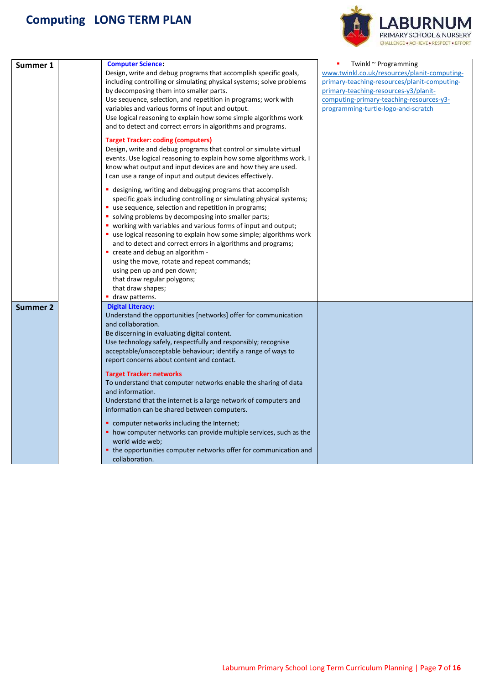

| Summer 1        | <b>Computer Science:</b><br>Design, write and debug programs that accomplish specific goals,<br>including controlling or simulating physical systems; solve problems<br>by decomposing them into smaller parts.<br>Use sequence, selection, and repetition in programs; work with<br>variables and various forms of input and output.<br>Use logical reasoning to explain how some simple algorithms work<br>and to detect and correct errors in algorithms and programs.                                                                                                                                                                                                                                                                                                                                                        | Twinkl ~ Programming<br>www.twinkl.co.uk/resources/planit-computing-<br>primary-teaching-resources/planit-computing-<br>primary-teaching-resources-y3/planit-<br>computing-primary-teaching-resources-y3-<br>programming-turtle-logo-and-scratch |
|-----------------|----------------------------------------------------------------------------------------------------------------------------------------------------------------------------------------------------------------------------------------------------------------------------------------------------------------------------------------------------------------------------------------------------------------------------------------------------------------------------------------------------------------------------------------------------------------------------------------------------------------------------------------------------------------------------------------------------------------------------------------------------------------------------------------------------------------------------------|--------------------------------------------------------------------------------------------------------------------------------------------------------------------------------------------------------------------------------------------------|
|                 | <b>Target Tracker: coding (computers)</b><br>Design, write and debug programs that control or simulate virtual<br>events. Use logical reasoning to explain how some algorithms work. I<br>know what output and input devices are and how they are used.<br>I can use a range of input and output devices effectively.                                                                                                                                                                                                                                                                                                                                                                                                                                                                                                            |                                                                                                                                                                                                                                                  |
|                 | • designing, writing and debugging programs that accomplish<br>specific goals including controlling or simulating physical systems;<br>" use sequence, selection and repetition in programs;<br>• solving problems by decomposing into smaller parts;<br>• working with variables and various forms of input and output;<br>• use logical reasoning to explain how some simple; algorithms work<br>and to detect and correct errors in algorithms and programs;<br>" create and debug an algorithm -<br>using the move, rotate and repeat commands;<br>using pen up and pen down;<br>that draw regular polygons;<br>that draw shapes;<br>■ draw patterns.                                                                                                                                                                        |                                                                                                                                                                                                                                                  |
| <b>Summer 2</b> | <b>Digital Literacy:</b><br>Understand the opportunities [networks] offer for communication<br>and collaboration.<br>Be discerning in evaluating digital content.<br>Use technology safely, respectfully and responsibly; recognise<br>acceptable/unacceptable behaviour; identify a range of ways to<br>report concerns about content and contact.<br><b>Target Tracker: networks</b><br>To understand that computer networks enable the sharing of data<br>and information.<br>Understand that the internet is a large network of computers and<br>information can be shared between computers.<br>" computer networks including the Internet;<br>• how computer networks can provide multiple services, such as the<br>world wide web;<br>• the opportunities computer networks offer for communication and<br>collaboration. |                                                                                                                                                                                                                                                  |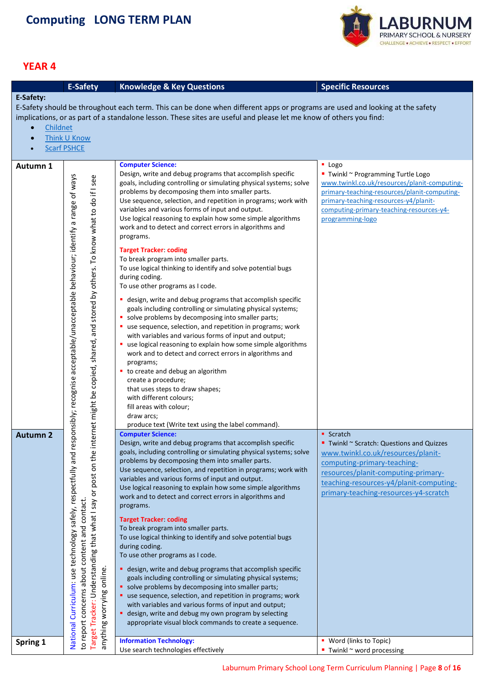

<span id="page-7-0"></span>

|                 | <b>E-Safety</b>                                                                                                                                                                                                                                                                               | <b>Knowledge &amp; Key Questions</b>                                                                                         | <b>Specific Resources</b>                    |
|-----------------|-----------------------------------------------------------------------------------------------------------------------------------------------------------------------------------------------------------------------------------------------------------------------------------------------|------------------------------------------------------------------------------------------------------------------------------|----------------------------------------------|
| E-Safety:       |                                                                                                                                                                                                                                                                                               |                                                                                                                              |                                              |
|                 |                                                                                                                                                                                                                                                                                               | E-Safety should be throughout each term. This can be done when different apps or programs are used and looking at the safety |                                              |
|                 |                                                                                                                                                                                                                                                                                               | implications, or as part of a standalone lesson. These sites are useful and please let me know of others you find:           |                                              |
| Childnet        |                                                                                                                                                                                                                                                                                               |                                                                                                                              |                                              |
| $\bullet$       | Think U Know                                                                                                                                                                                                                                                                                  |                                                                                                                              |                                              |
|                 | <b>Scarf PSHCE</b>                                                                                                                                                                                                                                                                            |                                                                                                                              |                                              |
|                 |                                                                                                                                                                                                                                                                                               |                                                                                                                              |                                              |
| Autumn 1        |                                                                                                                                                                                                                                                                                               | <b>Computer Science:</b>                                                                                                     | $\blacksquare$ Logo                          |
|                 |                                                                                                                                                                                                                                                                                               | Design, write and debug programs that accomplish specific                                                                    | ■ Twinkl ~ Programming Turtle Logo           |
|                 |                                                                                                                                                                                                                                                                                               | goals, including controlling or simulating physical systems; solve                                                           | www.twinkl.co.uk/resources/planit-computing- |
|                 |                                                                                                                                                                                                                                                                                               | problems by decomposing them into smaller parts.                                                                             | primary-teaching-resources/planit-computing- |
|                 |                                                                                                                                                                                                                                                                                               | Use sequence, selection, and repetition in programs; work with                                                               | primary-teaching-resources-y4/planit-        |
|                 |                                                                                                                                                                                                                                                                                               | variables and various forms of input and output.                                                                             | computing-primary-teaching-resources-y4-     |
|                 |                                                                                                                                                                                                                                                                                               | Use logical reasoning to explain how some simple algorithms                                                                  | programming-logo                             |
|                 |                                                                                                                                                                                                                                                                                               | work and to detect and correct errors in algorithms and                                                                      |                                              |
|                 |                                                                                                                                                                                                                                                                                               | programs.                                                                                                                    |                                              |
|                 |                                                                                                                                                                                                                                                                                               | <b>Target Tracker: coding</b>                                                                                                |                                              |
|                 |                                                                                                                                                                                                                                                                                               | To break program into smaller parts.                                                                                         |                                              |
|                 |                                                                                                                                                                                                                                                                                               | To use logical thinking to identify and solve potential bugs                                                                 |                                              |
|                 |                                                                                                                                                                                                                                                                                               | during coding.                                                                                                               |                                              |
|                 |                                                                                                                                                                                                                                                                                               | To use other programs as I code.                                                                                             |                                              |
|                 | internet might be copied, shared, and stored by others. To know what to do if I see                                                                                                                                                                                                           | • design, write and debug programs that accomplish specific                                                                  |                                              |
|                 |                                                                                                                                                                                                                                                                                               | goals including controlling or simulating physical systems;                                                                  |                                              |
|                 |                                                                                                                                                                                                                                                                                               | • solve problems by decomposing into smaller parts;                                                                          |                                              |
|                 |                                                                                                                                                                                                                                                                                               | " use sequence, selection, and repetition in programs; work                                                                  |                                              |
|                 |                                                                                                                                                                                                                                                                                               | with variables and various forms of input and output;                                                                        |                                              |
|                 |                                                                                                                                                                                                                                                                                               | " use logical reasoning to explain how some simple algorithms                                                                |                                              |
|                 |                                                                                                                                                                                                                                                                                               | work and to detect and correct errors in algorithms and                                                                      |                                              |
|                 |                                                                                                                                                                                                                                                                                               | programs;                                                                                                                    |                                              |
|                 |                                                                                                                                                                                                                                                                                               | to create and debug an algorithm                                                                                             |                                              |
|                 |                                                                                                                                                                                                                                                                                               | create a procedure;                                                                                                          |                                              |
|                 |                                                                                                                                                                                                                                                                                               | that uses steps to draw shapes;                                                                                              |                                              |
|                 |                                                                                                                                                                                                                                                                                               | with different colours;<br>fill areas with colour;                                                                           |                                              |
|                 |                                                                                                                                                                                                                                                                                               | draw arcs;                                                                                                                   |                                              |
|                 |                                                                                                                                                                                                                                                                                               | produce text (Write text using the label command).                                                                           |                                              |
| <b>Autumn 2</b> |                                                                                                                                                                                                                                                                                               | <b>Computer Science:</b>                                                                                                     | • Scratch                                    |
|                 |                                                                                                                                                                                                                                                                                               | Design, write and debug programs that accomplish specific                                                                    | ■ Twinkl ~ Scratch: Questions and Quizzes    |
|                 |                                                                                                                                                                                                                                                                                               | goals, including controlling or simulating physical systems; solve                                                           | www.twinkl.co.uk/resources/planit-           |
|                 |                                                                                                                                                                                                                                                                                               | problems by decomposing them into smaller parts.                                                                             | computing-primary-teaching-                  |
|                 |                                                                                                                                                                                                                                                                                               | Use sequence, selection, and repetition in programs; work with                                                               | resources/planit-computing-primary-          |
|                 |                                                                                                                                                                                                                                                                                               | variables and various forms of input and output.                                                                             | teaching-resources-y4/planit-computing-      |
|                 |                                                                                                                                                                                                                                                                                               | Use logical reasoning to explain how some simple algorithms                                                                  | primary-teaching-resources-y4-scratch        |
|                 |                                                                                                                                                                                                                                                                                               | work and to detect and correct errors in algorithms and                                                                      |                                              |
|                 |                                                                                                                                                                                                                                                                                               | programs.                                                                                                                    |                                              |
|                 |                                                                                                                                                                                                                                                                                               | <b>Target Tracker coding</b>                                                                                                 |                                              |
|                 |                                                                                                                                                                                                                                                                                               | To break program into smaller parts.                                                                                         |                                              |
|                 |                                                                                                                                                                                                                                                                                               | To use logical thinking to identify and solve potential bugs                                                                 |                                              |
|                 |                                                                                                                                                                                                                                                                                               | during coding.                                                                                                               |                                              |
|                 |                                                                                                                                                                                                                                                                                               | To use other programs as I code.                                                                                             |                                              |
|                 |                                                                                                                                                                                                                                                                                               | • design, write and debug programs that accomplish specific                                                                  |                                              |
|                 |                                                                                                                                                                                                                                                                                               | goals including controlling or simulating physical systems;                                                                  |                                              |
|                 |                                                                                                                                                                                                                                                                                               | • solve problems by decomposing into smaller parts;                                                                          |                                              |
|                 |                                                                                                                                                                                                                                                                                               | use sequence, selection, and repetition in programs; work                                                                    |                                              |
|                 |                                                                                                                                                                                                                                                                                               | with variables and various forms of input and output;                                                                        |                                              |
|                 |                                                                                                                                                                                                                                                                                               | • design, write and debug my own program by selecting                                                                        |                                              |
|                 | National Curriculum: use technology safely, respectfully and responsibly; recognise acceptable/unacceptable behaviour; identify a range of ways<br>Target Tracker: Understanding that what I say or post on the<br>to report concerns about content and contact.<br>anything worrying online. | appropriate visual block commands to create a sequence.                                                                      |                                              |
|                 |                                                                                                                                                                                                                                                                                               |                                                                                                                              |                                              |
| Spring 1        |                                                                                                                                                                                                                                                                                               | <b>Information Technology:</b>                                                                                               | • Word (links to Topic)                      |
|                 |                                                                                                                                                                                                                                                                                               | Use search technologies effectively                                                                                          | ■ Twinkl ~ word processing                   |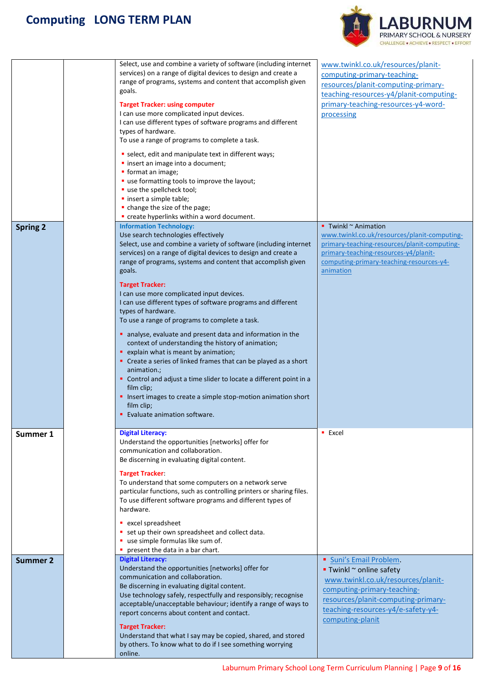

| <b>Spring 2</b>             | Select, use and combine a variety of software (including internet<br>services) on a range of digital devices to design and create a<br>range of programs, systems and content that accomplish given<br>goals.<br><b>Target Tracker: using computer</b><br>I can use more complicated input devices.<br>I can use different types of software programs and different<br>types of hardware.<br>To use a range of programs to complete a task.<br>select, edit and manipulate text in different ways;<br>· insert an image into a document;<br>• format an image;<br>" use formatting tools to improve the layout;<br>use the spellcheck tool;<br>· insert a simple table;<br>• change the size of the page;<br>" create hyperlinks within a word document.<br><b>Information Technology:</b><br>Use search technologies effectively<br>Select, use and combine a variety of software (including internet<br>services) on a range of digital devices to design and create a<br>range of programs, systems and content that accomplish given<br>goals.<br><b>Target Tracker:</b><br>I can use more complicated input devices.<br>I can use different types of software programs and different<br>types of hardware.<br>To use a range of programs to complete a task.<br>analyse, evaluate and present data and information in the<br>context of understanding the history of animation;<br>• explain what is meant by animation;<br>• Create a series of linked frames that can be played as a short<br>animation.;<br>• Control and adjust a time slider to locate a different point in a<br>film clip;<br>Insert images to create a simple stop-motion animation short<br>film clip;<br><b>Evaluate animation software.</b> | www.twinkl.co.uk/resources/planit-<br>computing-primary-teaching-<br>resources/planit-computing-primary-<br>teaching-resources-y4/planit-computing-<br>primary-teaching-resources-y4-word-<br>processing<br>$\blacksquare$ Twinkl $\sim$ Animation<br>www.twinkl.co.uk/resources/planit-computing-<br>primary-teaching-resources/planit-computing-<br>primary-teaching-resources-y4/planit-<br>computing-primary-teaching-resources-y4-<br>animation |
|-----------------------------|----------------------------------------------------------------------------------------------------------------------------------------------------------------------------------------------------------------------------------------------------------------------------------------------------------------------------------------------------------------------------------------------------------------------------------------------------------------------------------------------------------------------------------------------------------------------------------------------------------------------------------------------------------------------------------------------------------------------------------------------------------------------------------------------------------------------------------------------------------------------------------------------------------------------------------------------------------------------------------------------------------------------------------------------------------------------------------------------------------------------------------------------------------------------------------------------------------------------------------------------------------------------------------------------------------------------------------------------------------------------------------------------------------------------------------------------------------------------------------------------------------------------------------------------------------------------------------------------------------------------------------------------------------------------------------------------------------------------------|------------------------------------------------------------------------------------------------------------------------------------------------------------------------------------------------------------------------------------------------------------------------------------------------------------------------------------------------------------------------------------------------------------------------------------------------------|
| Summer 1<br><b>Summer 2</b> | <b>Digital Literacy:</b><br>Understand the opportunities [networks] offer for<br>communication and collaboration.<br>Be discerning in evaluating digital content.<br><b>Target Tracker:</b><br>To understand that some computers on a network serve<br>particular functions, such as controlling printers or sharing files.<br>To use different software programs and different types of<br>hardware.<br>• excel spreadsheet<br>set up their own spreadsheet and collect data.<br>use simple formulas like sum of.<br>present the data in a bar chart.<br><b>Digital Literacy:</b><br>Understand the opportunities [networks] offer for<br>communication and collaboration.                                                                                                                                                                                                                                                                                                                                                                                                                                                                                                                                                                                                                                                                                                                                                                                                                                                                                                                                                                                                                                                | Excel<br>Suni's Email Problem.<br>$\blacksquare$ Twinkl $\sim$ online safety                                                                                                                                                                                                                                                                                                                                                                         |
|                             | Be discerning in evaluating digital content.<br>Use technology safely, respectfully and responsibly; recognise<br>acceptable/unacceptable behaviour; identify a range of ways to<br>report concerns about content and contact.<br><b>Target Tracker:</b><br>Understand that what I say may be copied, shared, and stored<br>by others. To know what to do if I see something worrying<br>online.                                                                                                                                                                                                                                                                                                                                                                                                                                                                                                                                                                                                                                                                                                                                                                                                                                                                                                                                                                                                                                                                                                                                                                                                                                                                                                                           | www.twinkl.co.uk/resources/planit-<br>computing-primary-teaching-<br>resources/planit-computing-primary-<br>teaching-resources-y4/e-safety-y4-<br>computing-planit                                                                                                                                                                                                                                                                                   |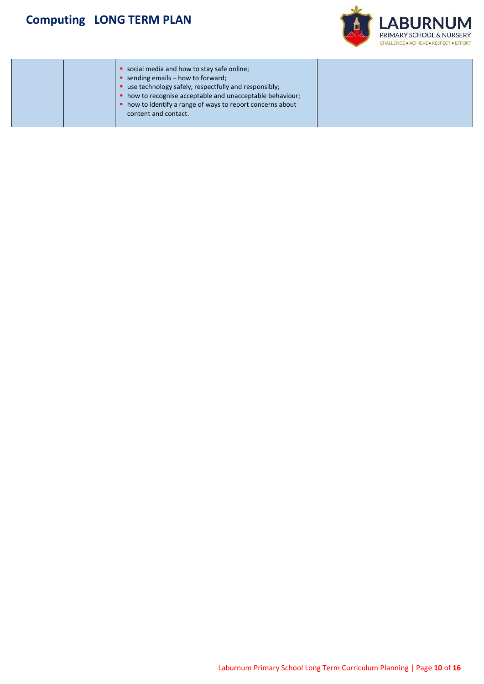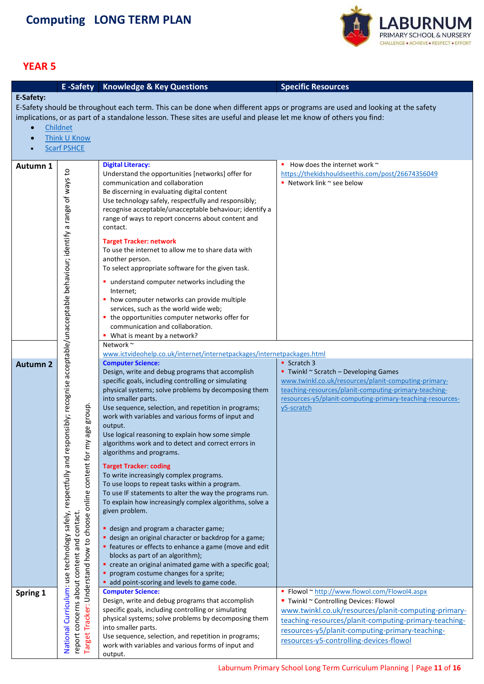

<span id="page-10-0"></span>

|                 | E-Safety                                                                                                                                                                                                                                                          | <b>Knowledge &amp; Key Questions</b>                                                                    | <b>Specific Resources</b>                                 |  |  |  |
|-----------------|-------------------------------------------------------------------------------------------------------------------------------------------------------------------------------------------------------------------------------------------------------------------|---------------------------------------------------------------------------------------------------------|-----------------------------------------------------------|--|--|--|
| E-Safety:       |                                                                                                                                                                                                                                                                   |                                                                                                         |                                                           |  |  |  |
|                 | E-Safety should be throughout each term. This can be done when different apps or programs are used and looking at the safety                                                                                                                                      |                                                                                                         |                                                           |  |  |  |
|                 | implications, or as part of a standalone lesson. These sites are useful and please let me know of others you find:                                                                                                                                                |                                                                                                         |                                                           |  |  |  |
|                 | Childnet                                                                                                                                                                                                                                                          |                                                                                                         |                                                           |  |  |  |
|                 | Think U Know                                                                                                                                                                                                                                                      |                                                                                                         |                                                           |  |  |  |
|                 | <b>Scarf PSHCE</b>                                                                                                                                                                                                                                                |                                                                                                         |                                                           |  |  |  |
|                 |                                                                                                                                                                                                                                                                   |                                                                                                         |                                                           |  |  |  |
| Autumn 1        |                                                                                                                                                                                                                                                                   | <b>Digital Literacy:</b>                                                                                | How does the internet work $\sim$                         |  |  |  |
|                 |                                                                                                                                                                                                                                                                   | Understand the opportunities [networks] offer for                                                       | https://thekidshouldseethis.com/post/26674356049          |  |  |  |
|                 |                                                                                                                                                                                                                                                                   | communication and collaboration                                                                         | Network link $\sim$ see below                             |  |  |  |
|                 |                                                                                                                                                                                                                                                                   | Be discerning in evaluating digital content                                                             |                                                           |  |  |  |
|                 |                                                                                                                                                                                                                                                                   | Use technology safely, respectfully and responsibly;                                                    |                                                           |  |  |  |
|                 |                                                                                                                                                                                                                                                                   | recognise acceptable/unacceptable behaviour; identify a                                                 |                                                           |  |  |  |
|                 |                                                                                                                                                                                                                                                                   | range of ways to report concerns about content and                                                      |                                                           |  |  |  |
|                 |                                                                                                                                                                                                                                                                   | contact.                                                                                                |                                                           |  |  |  |
|                 |                                                                                                                                                                                                                                                                   | <b>Target Tracker: network</b>                                                                          |                                                           |  |  |  |
|                 |                                                                                                                                                                                                                                                                   | To use the internet to allow me to share data with                                                      |                                                           |  |  |  |
|                 |                                                                                                                                                                                                                                                                   | another person.                                                                                         |                                                           |  |  |  |
|                 |                                                                                                                                                                                                                                                                   | To select appropriate software for the given task.                                                      |                                                           |  |  |  |
|                 |                                                                                                                                                                                                                                                                   | " understand computer networks including the                                                            |                                                           |  |  |  |
|                 |                                                                                                                                                                                                                                                                   | Internet;                                                                                               |                                                           |  |  |  |
|                 |                                                                                                                                                                                                                                                                   | • how computer networks can provide multiple                                                            |                                                           |  |  |  |
|                 |                                                                                                                                                                                                                                                                   | services, such as the world wide web;                                                                   |                                                           |  |  |  |
|                 |                                                                                                                                                                                                                                                                   | • the opportunities computer networks offer for                                                         |                                                           |  |  |  |
|                 |                                                                                                                                                                                                                                                                   | communication and collaboration.                                                                        |                                                           |  |  |  |
|                 |                                                                                                                                                                                                                                                                   | • What is meant by a network?<br>Network~                                                               |                                                           |  |  |  |
|                 |                                                                                                                                                                                                                                                                   | www.ictvideohelp.co.uk/internet/internetpackages/internetpackages.html                                  |                                                           |  |  |  |
| <b>Autumn 2</b> |                                                                                                                                                                                                                                                                   | <b>Computer Science:</b>                                                                                | • Scratch 3                                               |  |  |  |
|                 |                                                                                                                                                                                                                                                                   | Design, write and debug programs that accomplish                                                        | ■ Twinkl ~ Scratch - Developing Games                     |  |  |  |
|                 |                                                                                                                                                                                                                                                                   | specific goals, including controlling or simulating                                                     | www.twinkl.co.uk/resources/planit-computing-primary-      |  |  |  |
|                 |                                                                                                                                                                                                                                                                   | physical systems; solve problems by decomposing them                                                    | teaching-resources/planit-computing-primary-teaching-     |  |  |  |
|                 |                                                                                                                                                                                                                                                                   | into smaller parts.                                                                                     | resources-y5/planit-computing-primary-teaching-resources- |  |  |  |
|                 | age group.                                                                                                                                                                                                                                                        | Use sequence, selection, and repetition in programs;                                                    | y5-scratch                                                |  |  |  |
|                 |                                                                                                                                                                                                                                                                   | work with variables and various forms of input and                                                      |                                                           |  |  |  |
|                 |                                                                                                                                                                                                                                                                   | output.                                                                                                 |                                                           |  |  |  |
|                 | ≻                                                                                                                                                                                                                                                                 | Use logical reasoning to explain how some simple<br>algorithms work and to detect and correct errors in |                                                           |  |  |  |
|                 |                                                                                                                                                                                                                                                                   | algorithms and programs.                                                                                |                                                           |  |  |  |
|                 |                                                                                                                                                                                                                                                                   |                                                                                                         |                                                           |  |  |  |
|                 |                                                                                                                                                                                                                                                                   | <b>Target Tracker coding</b>                                                                            |                                                           |  |  |  |
|                 |                                                                                                                                                                                                                                                                   | To write increasingly complex programs.<br>To use loops to repeat tasks within a program.               |                                                           |  |  |  |
|                 |                                                                                                                                                                                                                                                                   | To use IF statements to alter the way the programs run.                                                 |                                                           |  |  |  |
|                 |                                                                                                                                                                                                                                                                   | To explain how increasingly complex algorithms, solve a                                                 |                                                           |  |  |  |
|                 |                                                                                                                                                                                                                                                                   | given problem.                                                                                          |                                                           |  |  |  |
|                 |                                                                                                                                                                                                                                                                   |                                                                                                         |                                                           |  |  |  |
|                 |                                                                                                                                                                                                                                                                   | " design and program a character game;                                                                  |                                                           |  |  |  |
|                 |                                                                                                                                                                                                                                                                   | " design an original character or backdrop for a game;                                                  |                                                           |  |  |  |
|                 |                                                                                                                                                                                                                                                                   | • features or effects to enhance a game (move and edit                                                  |                                                           |  |  |  |
|                 |                                                                                                                                                                                                                                                                   | blocks as part of an algorithm);                                                                        |                                                           |  |  |  |
|                 |                                                                                                                                                                                                                                                                   | • create an original animated game with a specific goal;<br>program costume changes for a sprite;       |                                                           |  |  |  |
|                 |                                                                                                                                                                                                                                                                   | add point-scoring and levels to game code.                                                              |                                                           |  |  |  |
| Spring 1        | National Curriculum: use technology safely, respectfully and responsibly; recognise acceptable/unacceptable behaviour; identify a range of ways to<br>report concerns about content and contact.<br>Target Tracker: Understand how to choose online content for m | <b>Computer Science:</b>                                                                                | Flowol ~ http://www.flowol.com/Flowol4.aspx               |  |  |  |
|                 |                                                                                                                                                                                                                                                                   | Design, write and debug programs that accomplish                                                        | " Twinkl ~ Controlling Devices: Flowol                    |  |  |  |
|                 |                                                                                                                                                                                                                                                                   | specific goals, including controlling or simulating                                                     | www.twinkl.co.uk/resources/planit-computing-primary-      |  |  |  |
|                 |                                                                                                                                                                                                                                                                   | physical systems; solve problems by decomposing them                                                    | teaching-resources/planit-computing-primary-teaching-     |  |  |  |
|                 |                                                                                                                                                                                                                                                                   | into smaller parts.                                                                                     | resources-y5/planit-computing-primary-teaching-           |  |  |  |
|                 |                                                                                                                                                                                                                                                                   | Use sequence, selection, and repetition in programs;                                                    | resources-y5-controlling-devices-flowol                   |  |  |  |
|                 |                                                                                                                                                                                                                                                                   | work with variables and various forms of input and<br>output.                                           |                                                           |  |  |  |
|                 |                                                                                                                                                                                                                                                                   |                                                                                                         |                                                           |  |  |  |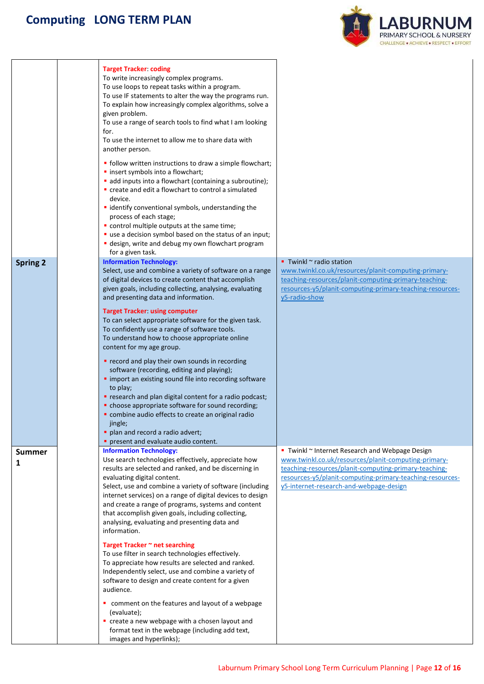

|                 | <b>Target Tracker: coding</b><br>To write increasingly complex programs.<br>To use loops to repeat tasks within a program.<br>To use IF statements to alter the way the programs run.<br>To explain how increasingly complex algorithms, solve a<br>given problem.<br>To use a range of search tools to find what I am looking<br>for.<br>To use the internet to allow me to share data with<br>another person.<br>• follow written instructions to draw a simple flowchart;<br>· insert symbols into a flowchart;<br>add inputs into a flowchart (containing a subroutine);<br>" create and edit a flowchart to control a simulated<br>device.<br>· identify conventional symbols, understanding the<br>process of each stage;<br>control multiple outputs at the same time;<br>" use a decision symbol based on the status of an input;<br>" design, write and debug my own flowchart program<br>for a given task.                                        |                                                                                                                                                                                                                                                                        |
|-----------------|-------------------------------------------------------------------------------------------------------------------------------------------------------------------------------------------------------------------------------------------------------------------------------------------------------------------------------------------------------------------------------------------------------------------------------------------------------------------------------------------------------------------------------------------------------------------------------------------------------------------------------------------------------------------------------------------------------------------------------------------------------------------------------------------------------------------------------------------------------------------------------------------------------------------------------------------------------------|------------------------------------------------------------------------------------------------------------------------------------------------------------------------------------------------------------------------------------------------------------------------|
| <b>Spring 2</b> | <b>Information Technology:</b><br>Select, use and combine a variety of software on a range<br>of digital devices to create content that accomplish<br>given goals, including collecting, analysing, evaluating<br>and presenting data and information.<br><b>Target Tracker: using computer</b><br>To can select appropriate software for the given task.<br>To confidently use a range of software tools.<br>To understand how to choose appropriate online<br>content for my age group.<br>record and play their own sounds in recording<br>software (recording, editing and playing);<br>" import an existing sound file into recording software<br>to play;<br>" research and plan digital content for a radio podcast;<br>• choose appropriate software for sound recording;<br>combine audio effects to create an original radio<br>jingle;<br>plan and record a radio advert;<br>present and evaluate audio content.                                 | Twinkl $\sim$ radio station<br>www.twinkl.co.uk/resources/planit-computing-primary-<br>teaching-resources/planit-computing-primary-teaching-<br>resources-y5/planit-computing-primary-teaching-resources-<br>y5-radio-show                                             |
| Summer<br>1     | <b>Information Technology:</b><br>Use search technologies effectively, appreciate how<br>results are selected and ranked, and be discerning in<br>evaluating digital content.<br>Select, use and combine a variety of software (including<br>internet services) on a range of digital devices to design<br>and create a range of programs, systems and content<br>that accomplish given goals, including collecting,<br>analysing, evaluating and presenting data and<br>information.<br>Target Tracker ~ net searching<br>To use filter in search technologies effectively.<br>To appreciate how results are selected and ranked.<br>Independently select, use and combine a variety of<br>software to design and create content for a given<br>audience.<br>comment on the features and layout of a webpage<br>(evaluate);<br>create a new webpage with a chosen layout and<br>format text in the webpage (including add text,<br>images and hyperlinks); | Twinkl ~ Internet Research and Webpage Design<br>www.twinkl.co.uk/resources/planit-computing-primary-<br>teaching-resources/planit-computing-primary-teaching-<br>resources-y5/planit-computing-primary-teaching-resources-<br>y5-internet-research-and-webpage-design |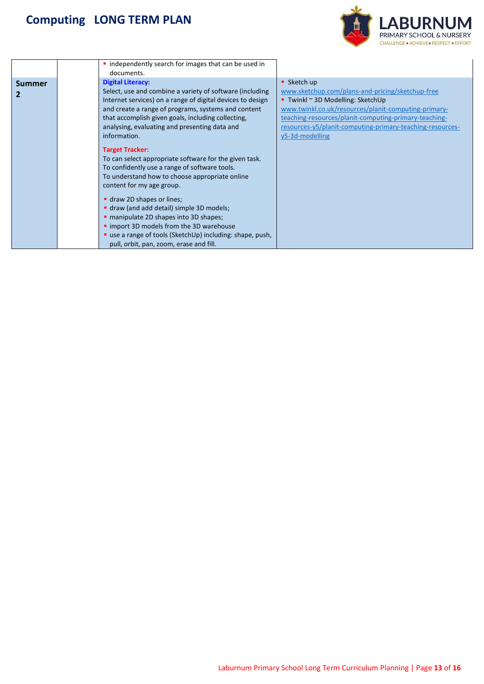

|               | • independently search for images that can be used in<br>documents.                                                                                                                                                                                                                                                              |                                                                                                                                                                                                                                                                                                          |
|---------------|----------------------------------------------------------------------------------------------------------------------------------------------------------------------------------------------------------------------------------------------------------------------------------------------------------------------------------|----------------------------------------------------------------------------------------------------------------------------------------------------------------------------------------------------------------------------------------------------------------------------------------------------------|
| <b>Summer</b> | <b>Digital Literacy:</b><br>Select, use and combine a variety of software (including<br>Internet services) on a range of digital devices to design<br>and create a range of programs, systems and content<br>that accomplish given goals, including collecting,<br>analysing, evaluating and presenting data and<br>information. | • Sketch up<br>www.sketchup.com/plans-and-pricing/sketchup-free<br>Twinkl $\sim$ 3D Modelling: SketchUp<br>www.twinkl.co.uk/resources/planit-computing-primary-<br>teaching-resources/planit-computing-primary-teaching-<br>resources-y5/planit-computing-primary-teaching-resources-<br>y5-3d-modelling |
|               | <b>Target Tracker</b><br>To can select appropriate software for the given task.<br>To confidently use a range of software tools.<br>To understand how to choose appropriate online<br>content for my age group.<br>draw 2D shapes or lines;<br>" draw (and add detail) simple 3D models;                                         |                                                                                                                                                                                                                                                                                                          |
|               | " manipulate 2D shapes into 3D shapes;<br>" import 3D models from the 3D warehouse<br>" use a range of tools (SketchUp) including: shape, push,<br>pull, orbit, pan, zoom, erase and fill.                                                                                                                                       |                                                                                                                                                                                                                                                                                                          |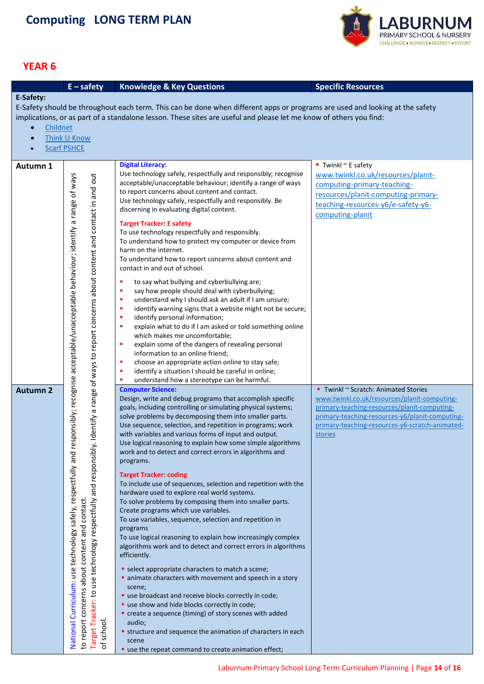

<span id="page-13-0"></span>

|                 | $E -$ safety                                                                                                                                                                                                                                             | <b>Knowledge &amp; Key Questions</b>                                                                                         | <b>Specific Resources</b>                                                                    |  |  |  |
|-----------------|----------------------------------------------------------------------------------------------------------------------------------------------------------------------------------------------------------------------------------------------------------|------------------------------------------------------------------------------------------------------------------------------|----------------------------------------------------------------------------------------------|--|--|--|
| E-Safety:       |                                                                                                                                                                                                                                                          |                                                                                                                              |                                                                                              |  |  |  |
|                 |                                                                                                                                                                                                                                                          | E-Safety should be throughout each term. This can be done when different apps or programs are used and looking at the safety |                                                                                              |  |  |  |
|                 |                                                                                                                                                                                                                                                          | implications, or as part of a standalone lesson. These sites are useful and please let me know of others you find:           |                                                                                              |  |  |  |
| $\bullet$       |                                                                                                                                                                                                                                                          |                                                                                                                              |                                                                                              |  |  |  |
|                 | Childnet<br>Think U Know                                                                                                                                                                                                                                 |                                                                                                                              |                                                                                              |  |  |  |
| $\bullet$       |                                                                                                                                                                                                                                                          |                                                                                                                              |                                                                                              |  |  |  |
|                 | <b>Scarf PSHCE</b>                                                                                                                                                                                                                                       |                                                                                                                              |                                                                                              |  |  |  |
| Autumn 1        |                                                                                                                                                                                                                                                          | <b>Digital Literacy:</b>                                                                                                     | Twinkl $\sim$ E safety                                                                       |  |  |  |
|                 |                                                                                                                                                                                                                                                          | Use technology safely, respectfully and responsibly; recognise                                                               | www.twinkl.co.uk/resources/planit-                                                           |  |  |  |
|                 |                                                                                                                                                                                                                                                          | acceptable/unacceptable behaviour; identify a range of ways                                                                  | computing-primary-teaching-                                                                  |  |  |  |
|                 |                                                                                                                                                                                                                                                          | to report concerns about content and contact.                                                                                |                                                                                              |  |  |  |
|                 |                                                                                                                                                                                                                                                          | Use technology safely, respectfully and responsibly. Be                                                                      | resources/planit-computing-primary-                                                          |  |  |  |
|                 |                                                                                                                                                                                                                                                          | discerning in evaluating digital content.                                                                                    | teaching-resources-y6/e-safety-y6-                                                           |  |  |  |
|                 |                                                                                                                                                                                                                                                          |                                                                                                                              | computing-planit                                                                             |  |  |  |
|                 |                                                                                                                                                                                                                                                          | <b>Target Tracker: E safety</b><br>To use technology respectfully and responsibly.                                           |                                                                                              |  |  |  |
|                 |                                                                                                                                                                                                                                                          | To understand how to protect my computer or device from                                                                      |                                                                                              |  |  |  |
|                 |                                                                                                                                                                                                                                                          | harm on the internet.                                                                                                        |                                                                                              |  |  |  |
|                 |                                                                                                                                                                                                                                                          | To understand how to report concerns about content and                                                                       |                                                                                              |  |  |  |
|                 |                                                                                                                                                                                                                                                          | contact in and out of school.                                                                                                |                                                                                              |  |  |  |
|                 | Identify a range of ways to report concerns about content and contact in and out                                                                                                                                                                         |                                                                                                                              |                                                                                              |  |  |  |
|                 |                                                                                                                                                                                                                                                          | ٠<br>to say what bullying and cyberbullying are;<br>say how people should deal with cyberbullying;<br>٠                      |                                                                                              |  |  |  |
|                 |                                                                                                                                                                                                                                                          | understand why I should ask an adult if I am unsure;<br>×                                                                    |                                                                                              |  |  |  |
|                 |                                                                                                                                                                                                                                                          | identify warning signs that a website might not be secure;<br>л                                                              |                                                                                              |  |  |  |
|                 |                                                                                                                                                                                                                                                          | identify personal information;<br>л                                                                                          |                                                                                              |  |  |  |
|                 |                                                                                                                                                                                                                                                          | explain what to do if I am asked or told something online<br>л                                                               |                                                                                              |  |  |  |
|                 |                                                                                                                                                                                                                                                          | which makes me uncomfortable;                                                                                                |                                                                                              |  |  |  |
|                 |                                                                                                                                                                                                                                                          | explain some of the dangers of revealing personal<br>×                                                                       |                                                                                              |  |  |  |
|                 |                                                                                                                                                                                                                                                          | information to an online friend;                                                                                             |                                                                                              |  |  |  |
|                 |                                                                                                                                                                                                                                                          | choose an appropriate action online to stay safe;<br>л                                                                       |                                                                                              |  |  |  |
|                 |                                                                                                                                                                                                                                                          | identify a situation I should be careful in online;<br>×                                                                     |                                                                                              |  |  |  |
|                 |                                                                                                                                                                                                                                                          | understand how a stereotype can be harmful.                                                                                  |                                                                                              |  |  |  |
| <b>Autumn 2</b> |                                                                                                                                                                                                                                                          | <b>Computer Science:</b><br>Design, write and debug programs that accomplish specific                                        | Twinkl ~ Scratch: Animated Stories                                                           |  |  |  |
|                 |                                                                                                                                                                                                                                                          | goals, including controlling or simulating physical systems;                                                                 | www.twinkl.co.uk/resources/planit-computing-<br>primary-teaching-resources/planit-computing- |  |  |  |
|                 |                                                                                                                                                                                                                                                          | solve problems by decomposing them into smaller parts.                                                                       | primary-teaching-resources-y6/planit-computing-                                              |  |  |  |
|                 |                                                                                                                                                                                                                                                          | Use sequence, selection, and repetition in programs; work                                                                    | primary-teaching-resources-y6-scratch-animated-                                              |  |  |  |
|                 |                                                                                                                                                                                                                                                          | with variables and various forms of input and output.                                                                        | stories                                                                                      |  |  |  |
|                 |                                                                                                                                                                                                                                                          | Use logical reasoning to explain how some simple algorithms                                                                  |                                                                                              |  |  |  |
|                 |                                                                                                                                                                                                                                                          | work and to detect and correct errors in algorithms and                                                                      |                                                                                              |  |  |  |
|                 |                                                                                                                                                                                                                                                          | programs.                                                                                                                    |                                                                                              |  |  |  |
|                 |                                                                                                                                                                                                                                                          | <b>Target Tracker coding</b>                                                                                                 |                                                                                              |  |  |  |
|                 |                                                                                                                                                                                                                                                          | To include use of sequences, selection and repetition with the                                                               |                                                                                              |  |  |  |
|                 |                                                                                                                                                                                                                                                          | hardware used to explore real world systems.                                                                                 |                                                                                              |  |  |  |
|                 |                                                                                                                                                                                                                                                          | To solve problems by composing them into smaller parts.                                                                      |                                                                                              |  |  |  |
|                 | Curriculum: use technology safely, respectfully and responsibly; recognise acceptable/unacceptable behaviour; identify a range of ways<br>Target Tracker: to use technology respectfully and responsibly<br>to report concerns about content and contact | Create programs which use variables.                                                                                         |                                                                                              |  |  |  |
|                 |                                                                                                                                                                                                                                                          | To use variables, sequence, selection and repetition in                                                                      |                                                                                              |  |  |  |
|                 |                                                                                                                                                                                                                                                          | programs<br>To use logical reasoning to explain how increasingly complex                                                     |                                                                                              |  |  |  |
|                 |                                                                                                                                                                                                                                                          | algorithms work and to detect and correct errors in algorithms                                                               |                                                                                              |  |  |  |
|                 |                                                                                                                                                                                                                                                          | efficiently.                                                                                                                 |                                                                                              |  |  |  |
|                 |                                                                                                                                                                                                                                                          |                                                                                                                              |                                                                                              |  |  |  |
|                 |                                                                                                                                                                                                                                                          | • select appropriate characters to match a scene;                                                                            |                                                                                              |  |  |  |
|                 |                                                                                                                                                                                                                                                          | animate characters with movement and speech in a story                                                                       |                                                                                              |  |  |  |
|                 |                                                                                                                                                                                                                                                          | scene;                                                                                                                       |                                                                                              |  |  |  |
|                 |                                                                                                                                                                                                                                                          | " use broadcast and receive blocks correctly in code;<br>" use show and hide blocks correctly in code;                       |                                                                                              |  |  |  |
|                 |                                                                                                                                                                                                                                                          | • create a sequence (timing) of story scenes with added                                                                      |                                                                                              |  |  |  |
|                 |                                                                                                                                                                                                                                                          | audio;                                                                                                                       |                                                                                              |  |  |  |
|                 |                                                                                                                                                                                                                                                          | <b>structure and sequence the animation of characters in each</b>                                                            |                                                                                              |  |  |  |
|                 | of school.<br>National                                                                                                                                                                                                                                   | scene                                                                                                                        |                                                                                              |  |  |  |
|                 |                                                                                                                                                                                                                                                          | " use the repeat command to create animation effect;                                                                         |                                                                                              |  |  |  |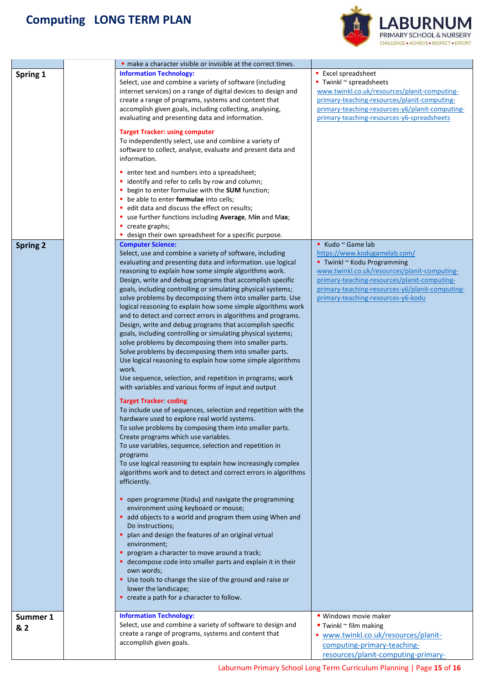

| Spring 1        | make a character visible or invisible at the correct times.<br><b>Information Technology:</b><br>Select, use and combine a variety of software (including<br>internet services) on a range of digital devices to design and<br>create a range of programs, systems and content that<br>accomplish given goals, including collecting, analysing,<br>evaluating and presenting data and information.<br><b>Target Tracker: using computer</b><br>To independently select, use and combine a variety of<br>software to collect, analyse, evaluate and present data and<br>information.<br>• enter text and numbers into a spreadsheet;<br>• identify and refer to cells by row and column;<br>• begin to enter formulae with the SUM function;<br>• be able to enter formulae into cells;<br>edit data and discuss the effect on results;<br>" use further functions including Average, Min and Max;<br>• create graphs;                                                                                                                                                                                                                                                                                                                                                                                                                                                                                                                                                                                                                                                                                                                                                                                                                                                                                                                                                                                                                                                                                                                             | <b>Excel spreadsheet</b><br>$\blacksquare$ Twinkl $\sim$ spreadsheets<br>www.twinkl.co.uk/resources/planit-computing-<br>primary-teaching-resources/planit-computing-<br>primary-teaching-resources-y6/planit-computing-<br>primary-teaching-resources-y6-spreadsheets    |
|-----------------|---------------------------------------------------------------------------------------------------------------------------------------------------------------------------------------------------------------------------------------------------------------------------------------------------------------------------------------------------------------------------------------------------------------------------------------------------------------------------------------------------------------------------------------------------------------------------------------------------------------------------------------------------------------------------------------------------------------------------------------------------------------------------------------------------------------------------------------------------------------------------------------------------------------------------------------------------------------------------------------------------------------------------------------------------------------------------------------------------------------------------------------------------------------------------------------------------------------------------------------------------------------------------------------------------------------------------------------------------------------------------------------------------------------------------------------------------------------------------------------------------------------------------------------------------------------------------------------------------------------------------------------------------------------------------------------------------------------------------------------------------------------------------------------------------------------------------------------------------------------------------------------------------------------------------------------------------------------------------------------------------------------------------------------------------|---------------------------------------------------------------------------------------------------------------------------------------------------------------------------------------------------------------------------------------------------------------------------|
| <b>Spring 2</b> | " design their own spreadsheet for a specific purpose.<br><b>Computer Science:</b><br>Select, use and combine a variety of software, including<br>evaluating and presenting data and information. use logical<br>reasoning to explain how some simple algorithms work.<br>Design, write and debug programs that accomplish specific<br>goals, including controlling or simulating physical systems;<br>solve problems by decomposing them into smaller parts. Use<br>logical reasoning to explain how some simple algorithms work<br>and to detect and correct errors in algorithms and programs.<br>Design, write and debug programs that accomplish specific<br>goals, including controlling or simulating physical systems;<br>solve problems by decomposing them into smaller parts.<br>Solve problems by decomposing them into smaller parts.<br>Use logical reasoning to explain how some simple algorithms<br>work.<br>Use sequence, selection, and repetition in programs; work<br>with variables and various forms of input and output<br><b>Target Tracker coding</b><br>To include use of sequences, selection and repetition with the<br>hardware used to explore real world systems.<br>To solve problems by composing them into smaller parts.<br>Create programs which use variables.<br>To use variables, sequence, selection and repetition in<br>programs<br>To use logical reasoning to explain how increasingly complex<br>algorithms work and to detect and correct errors in algorithms<br>efficiently.<br>• open programme (Kodu) and navigate the programming<br>environment using keyboard or mouse;<br>add objects to a world and program them using When and<br>Do instructions;<br>plan and design the features of an original virtual<br>environment;<br>program a character to move around a track;<br>• decompose code into smaller parts and explain it in their<br>own words;<br>" Use tools to change the size of the ground and raise or<br>lower the landscape;<br>• create a path for a character to follow. | ■ Kudo ~ Game lab<br>https://www.kodugamelab.com/<br>■ Twinkl ~ Kodu Programming<br>www.twinkl.co.uk/resources/planit-computing-<br>primary-teaching-resources/planit-computing-<br>primary-teaching-resources-y6/planit-computing-<br>primary-teaching-resources-y6-kodu |
| Summer 1<br>& 2 | <b>Information Technology:</b><br>Select, use and combine a variety of software to design and<br>create a range of programs, systems and content that<br>accomplish given goals.                                                                                                                                                                                                                                                                                                                                                                                                                                                                                                                                                                                                                                                                                                                                                                                                                                                                                                                                                                                                                                                                                                                                                                                                                                                                                                                                                                                                                                                                                                                                                                                                                                                                                                                                                                                                                                                                  | ■ Windows movie maker<br>$\blacksquare$ Twinkl $\sim$ film making<br>www.twinkl.co.uk/resources/planit-<br>computing-primary-teaching-<br>resources/planit-computing-primary-                                                                                             |